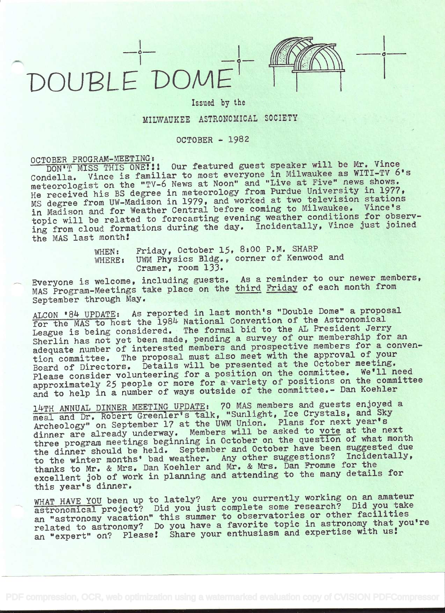



# MILWAUKEE ASTRONOMICAL SOCIETY

# OCTOBER - 1982

OCTOBER PROGRAM-MEETING:<br>DON'T MISS THIS ONE!!! Our featured guest speaker will be Mr. Vince Condella. Vince is familiar to most everyone in Milwaukee as WITI-TV 6's meteorologist on the "TV-6 News at Noon" and "Live at Five" news shows. He received his BS degree in meteorology from Purdue University in 1977, MS degree from UW-Madison in 1979, and worked at two television stations in. Madison and for Weather Central before coming to Milwaukee. Vince's topic will be related to forecasting evening weather conditions for observing from cloud formations during the day. Incidentally, Vince just joined the MAS last month

> WHEN: Friday, October 15, 8:00 P.M. SHARP<br>WHERE: UWM Physics Bldg., corner of Kenwood UWM Physics Bldg., corner of Kenwood and Cramer, room 133.

Everyone is welcome, including guests. As a reminder to our newer members, MAS Program-Meetings take place on the third Friday of each month from September through May.

ALCON '84 UPDATE: As reported in last month's "Double Dome" a proposal for the MAS to host the 1984 National Convention of the Astronomical League is being considered. The formal bid to the AL President Jerry Sherlin has not yet been made, pending a survey of our membership for an adequate number of interested members and prospective members for a convention committee. The proposal must also meet with the approval of your Board of Directors. Details will be presented at the October meeting. Please consider volunteering for a position on the committee. We'll need approximately 25 people or more for a variety of positions on the committee and to help in a number of ways outside of the committee.- Dan Koehier

l4'TH ANNUAL DINNER MEETING UPDATE: 70 MAS members and guests enjoyed <sup>a</sup> meal and Dr. Robert Greenler's talk, "Sunlight, Ice Crystals, and Sky Archeology" on September 17 at the UWM Union. Plans for next year's dinner are already underway. Members will be asked to vote at the next three program meetings beginning in October on the question of what month the dinner should be held. September and October have been suggested due to the winter months' bad weather. Any other suggestions? Incidentally, thanks to Mr. & Mrs. Dan Koehler and Mr. & Mrs. Dan Fromme for the excellent job of work in planning and attending to the many details for this year's dinner.

WHAT HAVE YOU been up to lately? Are you currently working on an amateur astronomical project? Did you just complete some research? Did you take astronomical projection" this summer to observatories or other facilities<br>an "astronomy vacation" this summer formate topic in astronomy that you're an "astronomy vacation" this samme a favorite topic in astronomy that you're<br>related to astronomy? Do you have a favorite topic in astronomy that you're an "expert" on? Please! Share your enthusiasm and expertise with us!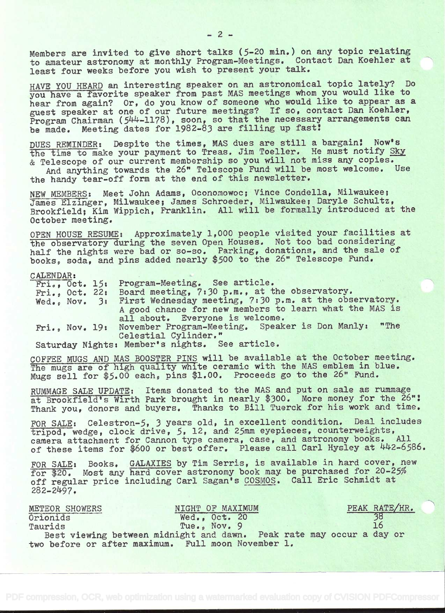Members are invited to give short talks (5-20 min.) on any topic relating to amateur astronomy at monthly Program-Meetings. Contact Dan, Koehler at least four weeks before you wish to present your talk.

HAVE YOU HEARD an interesting speaker on an astronomical topic lately? Do you have a favorite speaker from past MAS meetings whom you would like to hear from again? Or, do you know of someone who would like to appear as a guest speaker at one of our future meetings? If so, contact Dan Koehler, Program Chairman (544-1178), soon, so that the necessary arrangements can be made. Meeting dates for 1982-83 are filling up fasti

DUES REMINDER: Despite the times, MAS dues are still a bargain! Now's the time to make your payment to Treas. Jim Toeller. He must notify Sky & Telescope of our current membership so you will not miss any copies. And anything towards the 26" Telescope Fund will be most welcome. Use

the handy tear-off form at the end of this newsletter.

NEW MEMBERS: Meet John Adams, Oconomowoc; Vince Condella, Milwaukee; James Elzinger, Milwaukee; James Schroeder, Milwaukee; Daryle Schultz, Brookfield; Kim Wippich, Franklin. All will be formally introduced at the October meeting.

OPEN HOUSE RESUME: Approximately 1,000 people visited your facilities at the observatory during the seven Open Houses. Not too bad considering half the nights were bad or so-so. Parking, donations, and the sale of books, soda, and pins added nearly 5OO to the 26' Telescope Fund.

## CALENDAR:

| Fri., Oct. 15: Program-Meeting. See article.                         |
|----------------------------------------------------------------------|
| Fri., Oct. 22: Board meeting, 7:30 p.m., at the observatory.         |
| Wed., Nov. 3: First Wednesday meeting, 7:30 p.m. at the observatory. |
| A good chance for new members to learn what the MAS is               |
| all about. Everyone is welcome.                                      |
| Fri., Nov. 19: November Program-Meeting. Speaker is Don Manly: "The  |
| Celestial Cylinder."                                                 |

Saturday Nights: Member's nights. See article.

CÓFFEE MUGS AND MAS BOOSTER PINS will be available at the October meeting. The mugs are of high quality white ceramic with the MAS emblem in blue. Mugs sell for \$5.00 each, pins \$1.00. Proceeds go to the 26" Fund.

RUMMAGE SALE UPDATE: Items donated to the MAS and put on sale as rummage at Brookfield's Wirth Park brought in nearly \$300. More money for the 26"! Thank you, donors and buyers. Thanks to Bill Tuerck for his work and time.

FOR SALE: Celestron-5, 3 years old, in excellent condition. Deal includes tripod, wedge, clock drive, 5, 12, and 25mm eyepieces, counterweights, camera attachment for Cannon type camera, case, and astronomy books. All of these items for \$600 or best offer. Please call Carl Hysley at 442-6586.

FOR SALE: Books. GALAXIES by Tim Serris, is available in hard cover, new for \$20. Most any hard cover astronomy book may be purchased for 20-25% off regular price including Carl Sagan's COSMOS. Call Eric Schmidt at 282-2497.

METEOR SHOWERS NIGHT OF MAXIMUM PEAK RATE/HR. Orionids Wed., Oct. 20 38 Taurids Tue., Nov. 9 16 Best viewing between midnight and dawn. Peak rate may occur a day or two before or after maximum. Full moon November 1.